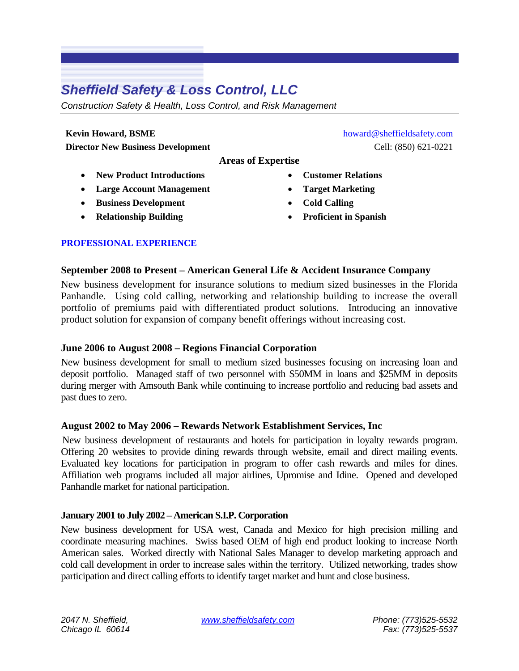# *Sheffield Safety & Loss Control, LLC*

*Construction Safety & Health, Loss Control, and Risk Management* 

**Kevin Howard, BSME** 

**Director New Business Development**

**Areas of Expertise** 

- **New Product Introductions**
- **Large Account Management**
- **Business Development**
- **Relationship Building**

• **Customer Relations**

howard@sheffieldsafety.com

Cell: (850) 621-0221

- **Target Marketing**
- **Cold Calling**
- **Proficient in Spanish**

## **PROFESSIONAL EXPERIENCE**

## **September 2008 to Present – American General Life & Accident Insurance Company**

New business development for insurance solutions to medium sized businesses in the Florida Panhandle. Using cold calling, networking and relationship building to increase the overall portfolio of premiums paid with differentiated product solutions. Introducing an innovative product solution for expansion of company benefit offerings without increasing cost.

## **June 2006 to August 2008 – Regions Financial Corporation**

New business development for small to medium sized businesses focusing on increasing loan and deposit portfolio. Managed staff of two personnel with \$50MM in loans and \$25MM in deposits during merger with Amsouth Bank while continuing to increase portfolio and reducing bad assets and past dues to zero.

## **August 2002 to May 2006 – Rewards Network Establishment Services, Inc**

New business development of restaurants and hotels for participation in loyalty rewards program. Offering 20 websites to provide dining rewards through website, email and direct mailing events. Evaluated key locations for participation in program to offer cash rewards and miles for dines. Affiliation web programs included all major airlines, Upromise and Idine. Opened and developed Panhandle market for national participation.

## **January 2001 to July 2002 – American S.I.P. Corporation**

 New business development for USA west, Canada and Mexico for high precision milling and coordinate measuring machines. Swiss based OEM of high end product looking to increase North American sales. Worked directly with National Sales Manager to develop marketing approach and cold call development in order to increase sales within the territory. Utilized networking, trades show participation and direct calling efforts to identify target market and hunt and close business.